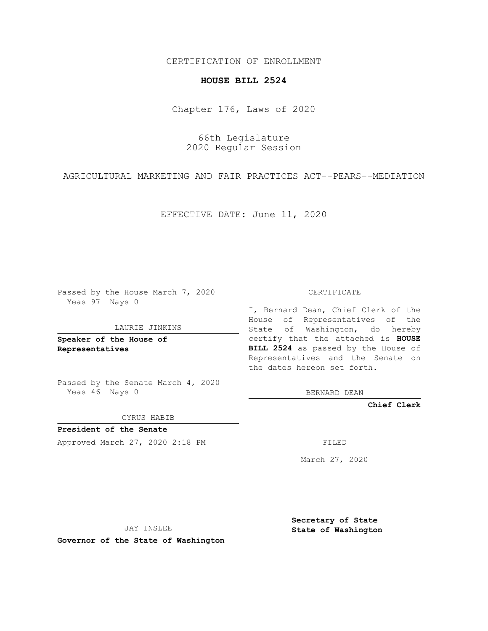CERTIFICATION OF ENROLLMENT

## **HOUSE BILL 2524**

Chapter 176, Laws of 2020

66th Legislature 2020 Regular Session

AGRICULTURAL MARKETING AND FAIR PRACTICES ACT--PEARS--MEDIATION

EFFECTIVE DATE: June 11, 2020

Passed by the House March 7, 2020 Yeas 97 Nays 0

LAURIE JINKINS

**Speaker of the House of Representatives**

Passed by the Senate March 4, 2020 Yeas 46 Nays 0

CYRUS HABIB

**President of the Senate** Approved March 27, 2020 2:18 PM

CERTIFICATE

I, Bernard Dean, Chief Clerk of the House of Representatives of the State of Washington, do hereby certify that the attached is **HOUSE BILL 2524** as passed by the House of Representatives and the Senate on the dates hereon set forth.

BERNARD DEAN

**Chief Clerk**

March 27, 2020

JAY INSLEE

**Governor of the State of Washington**

**Secretary of State State of Washington**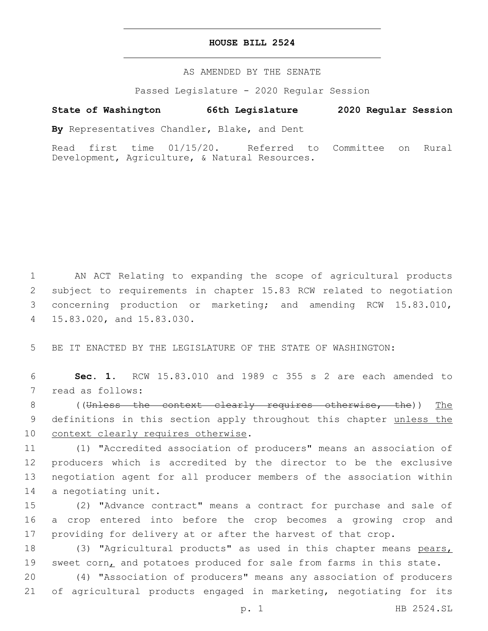## **HOUSE BILL 2524**

AS AMENDED BY THE SENATE

Passed Legislature - 2020 Regular Session

## **State of Washington 66th Legislature 2020 Regular Session**

**By** Representatives Chandler, Blake, and Dent

Read first time 01/15/20. Referred to Committee on Rural Development, Agriculture, & Natural Resources.

 AN ACT Relating to expanding the scope of agricultural products subject to requirements in chapter 15.83 RCW related to negotiation concerning production or marketing; and amending RCW 15.83.010, 15.83.020, and 15.83.030.4

5 BE IT ENACTED BY THE LEGISLATURE OF THE STATE OF WASHINGTON:

6 **Sec. 1.** RCW 15.83.010 and 1989 c 355 s 2 are each amended to 7 read as follows:

8 ((Unless the context clearly requires otherwise, the)) The 9 definitions in this section apply throughout this chapter unless the 10 context clearly requires otherwise.

 (1) "Accredited association of producers" means an association of producers which is accredited by the director to be the exclusive negotiation agent for all producer members of the association within 14 a negotiating unit.

15 (2) "Advance contract" means a contract for purchase and sale of 16 a crop entered into before the crop becomes a growing crop and 17 providing for delivery at or after the harvest of that crop.

18 (3) "Agricultural products" as used in this chapter means pears, 19 sweet corn, and potatoes produced for sale from farms in this state.

20 (4) "Association of producers" means any association of producers 21 of agricultural products engaged in marketing, negotiating for its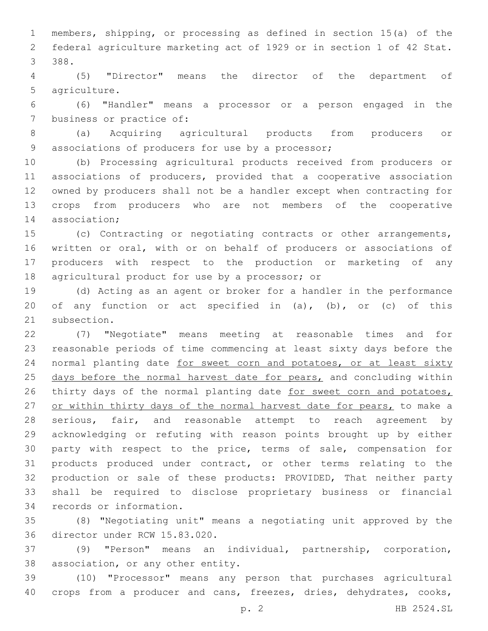1 members, shipping, or processing as defined in section 15(a) of the 2 federal agriculture marketing act of 1929 or in section 1 of 42 Stat. 388.3

4 (5) "Director" means the director of the department of 5 agriculture.

6 (6) "Handler" means a processor or a person engaged in the 7 business or practice of:

8 (a) Acquiring agricultural products from producers or 9 associations of producers for use by a processor;

 (b) Processing agricultural products received from producers or associations of producers, provided that a cooperative association owned by producers shall not be a handler except when contracting for crops from producers who are not members of the cooperative 14 association;

 (c) Contracting or negotiating contracts or other arrangements, written or oral, with or on behalf of producers or associations of producers with respect to the production or marketing of any 18 agricultural product for use by a processor; or

19 (d) Acting as an agent or broker for a handler in the performance 20 of any function or act specified in (a), (b), or (c) of this 21 subsection.

22 (7) "Negotiate" means meeting at reasonable times and for 23 reasonable periods of time commencing at least sixty days before the 24 normal planting date for sweet corn and potatoes, or at least sixty 25 days before the normal harvest date for pears, and concluding within 26 thirty days of the normal planting date for sweet corn and potatoes, 27 or within thirty days of the normal harvest date for pears, to make a 28 serious, fair, and reasonable attempt to reach agreement by 29 acknowledging or refuting with reason points brought up by either 30 party with respect to the price, terms of sale, compensation for 31 products produced under contract, or other terms relating to the 32 production or sale of these products: PROVIDED, That neither party 33 shall be required to disclose proprietary business or financial 34 records or information.

35 (8) "Negotiating unit" means a negotiating unit approved by the 36 director under RCW 15.83.020.

37 (9) "Person" means an individual, partnership, corporation, 38 association, or any other entity.

39 (10) "Processor" means any person that purchases agricultural 40 crops from a producer and cans, freezes, dries, dehydrates, cooks,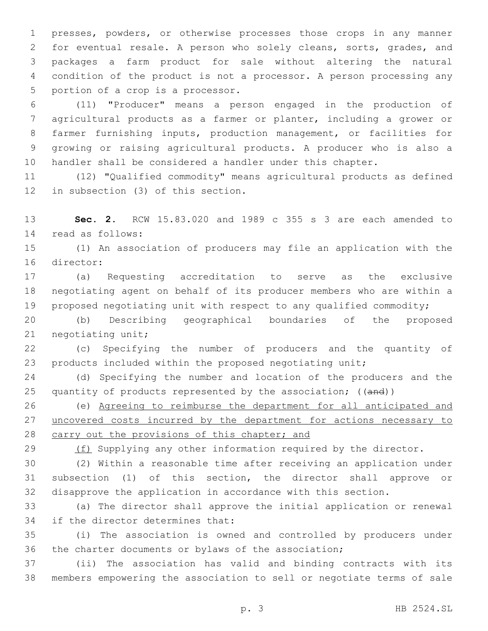presses, powders, or otherwise processes those crops in any manner for eventual resale. A person who solely cleans, sorts, grades, and packages a farm product for sale without altering the natural condition of the product is not a processor. A person processing any 5 portion of a crop is a processor.

 (11) "Producer" means a person engaged in the production of agricultural products as a farmer or planter, including a grower or farmer furnishing inputs, production management, or facilities for growing or raising agricultural products. A producer who is also a handler shall be considered a handler under this chapter.

 (12) "Qualified commodity" means agricultural products as defined 12 in subsection (3) of this section.

 **Sec. 2.** RCW 15.83.020 and 1989 c 355 s 3 are each amended to 14 read as follows:

 (1) An association of producers may file an application with the 16 director:

 (a) Requesting accreditation to serve as the exclusive negotiating agent on behalf of its producer members who are within a proposed negotiating unit with respect to any qualified commodity;

 (b) Describing geographical boundaries of the proposed 21 negotiating unit;

 (c) Specifying the number of producers and the quantity of 23 products included within the proposed negotiating unit;

 (d) Specifying the number and location of the producers and the 25 quantity of products represented by the association; ((and))

 (e) Agreeing to reimburse the department for all anticipated and 27 uncovered costs incurred by the department for actions necessary to carry out the provisions of this chapter; and

29 (f) Supplying any other information required by the director.

 (2) Within a reasonable time after receiving an application under subsection (1) of this section, the director shall approve or disapprove the application in accordance with this section.

 (a) The director shall approve the initial application or renewal 34 if the director determines that:

 (i) The association is owned and controlled by producers under the charter documents or bylaws of the association;

 (ii) The association has valid and binding contracts with its members empowering the association to sell or negotiate terms of sale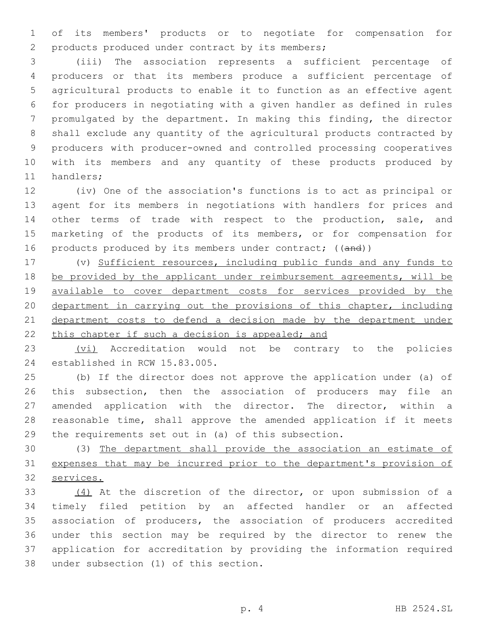of its members' products or to negotiate for compensation for products produced under contract by its members;2

 (iii) The association represents a sufficient percentage of producers or that its members produce a sufficient percentage of agricultural products to enable it to function as an effective agent for producers in negotiating with a given handler as defined in rules promulgated by the department. In making this finding, the director shall exclude any quantity of the agricultural products contracted by producers with producer-owned and controlled processing cooperatives with its members and any quantity of these products produced by 11 handlers;

 (iv) One of the association's functions is to act as principal or agent for its members in negotiations with handlers for prices and other terms of trade with respect to the production, sale, and marketing of the products of its members, or for compensation for 16 products produced by its members under contract; ((and))

 (v) Sufficient resources, including public funds and any funds to 18 be provided by the applicant under reimbursement agreements, will be available to cover department costs for services provided by the department in carrying out the provisions of this chapter, including department costs to defend a decision made by the department under 22 this chapter if such a decision is appealed; and

23 (vi) Accreditation would not be contrary to the policies 24 established in RCW 15.83.005.

 (b) If the director does not approve the application under (a) of this subsection, then the association of producers may file an amended application with the director. The director, within a reasonable time, shall approve the amended application if it meets the requirements set out in (a) of this subsection.

 (3) The department shall provide the association an estimate of expenses that may be incurred prior to the department's provision of services.

 (4) At the discretion of the director, or upon submission of a timely filed petition by an affected handler or an affected association of producers, the association of producers accredited under this section may be required by the director to renew the application for accreditation by providing the information required 38 under subsection (1) of this section.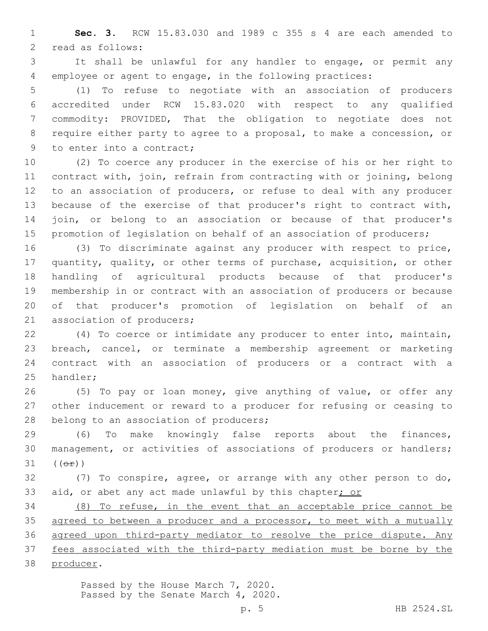**Sec. 3.** RCW 15.83.030 and 1989 c 355 s 4 are each amended to 2 read as follows:

 It shall be unlawful for any handler to engage, or permit any employee or agent to engage, in the following practices:

 (1) To refuse to negotiate with an association of producers accredited under RCW 15.83.020 with respect to any qualified commodity: PROVIDED, That the obligation to negotiate does not require either party to agree to a proposal, to make a concession, or 9 to enter into a contract;

 (2) To coerce any producer in the exercise of his or her right to contract with, join, refrain from contracting with or joining, belong to an association of producers, or refuse to deal with any producer because of the exercise of that producer's right to contract with, join, or belong to an association or because of that producer's 15 promotion of legislation on behalf of an association of producers;

 (3) To discriminate against any producer with respect to price, quantity, quality, or other terms of purchase, acquisition, or other handling of agricultural products because of that producer's membership in or contract with an association of producers or because of that producer's promotion of legislation on behalf of an 21 association of producers;

 (4) To coerce or intimidate any producer to enter into, maintain, breach, cancel, or terminate a membership agreement or marketing contract with an association of producers or a contract with a 25 handler;

 (5) To pay or loan money, give anything of value, or offer any other inducement or reward to a producer for refusing or ceasing to 28 belong to an association of producers;

 (6) To make knowingly false reports about the finances, management, or activities of associations of producers or handlers; (( $\Theta$  $\hat{r}$ ))

 (7) To conspire, agree, or arrange with any other person to do, aid, or abet any act made unlawful by this chapter; or

 (8) To refuse, in the event that an acceptable price cannot be 35 agreed to between a producer and a processor, to meet with a mutually agreed upon third-party mediator to resolve the price dispute. Any fees associated with the third-party mediation must be borne by the 38 producer.

> Passed by the House March 7, 2020. Passed by the Senate March 4, 2020.